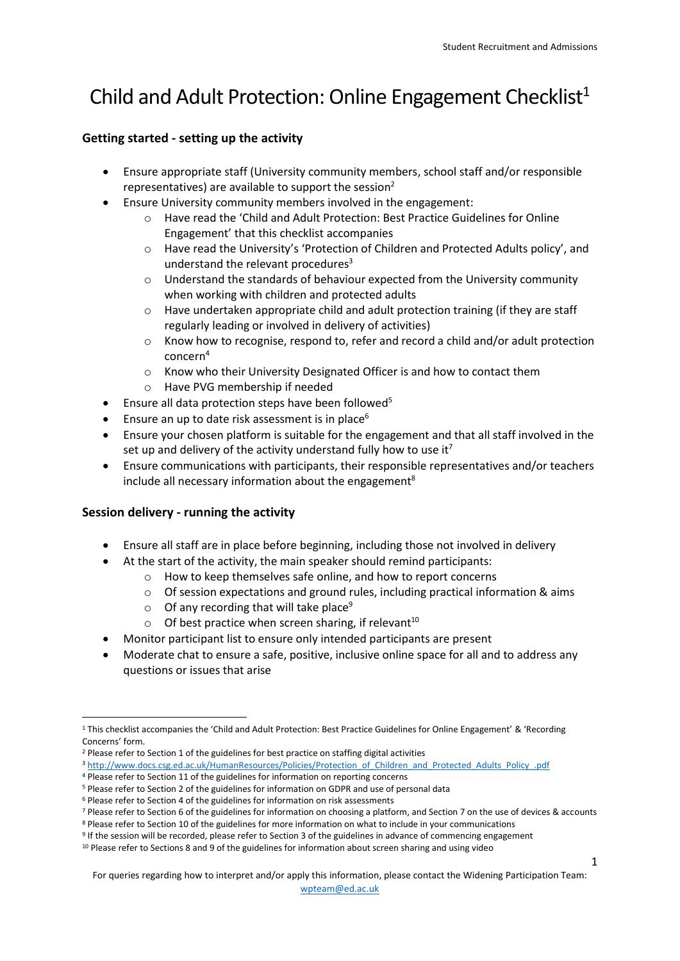1

## Child and Adult Protection: Online Engagement Checklist<sup>1</sup>

## **Getting started - setting up the activity**

- Ensure appropriate staff (University community members, school staff and/or responsible representatives) are available to support the session<sup>2</sup>
- Ensure University community members involved in the engagement:
	- o Have read the 'Child and Adult Protection: Best Practice Guidelines for Online Engagement' that this checklist accompanies
	- o Have read the University's 'Protection of Children and Protected Adults policy', and understand the relevant procedures<sup>3</sup>
	- o Understand the standards of behaviour expected from the University community when working with children and protected adults
	- $\circ$  Have undertaken appropriate child and adult protection training (if they are staff regularly leading or involved in delivery of activities)
	- $\circ$  Know how to recognise, respond to, refer and record a child and/or adult protection concern<sup>4</sup>
	- o Know who their University Designated Officer is and how to contact them
	- o Have PVG membership if needed
- **Ensure all data protection steps have been followed**<sup>5</sup>
- **Ensure an up to date risk assessment is in place**<sup>6</sup>
- Ensure your chosen platform is suitable for the engagement and that all staff involved in the set up and delivery of the activity understand fully how to use it<sup>7</sup>
- Ensure communications with participants, their responsible representatives and/or teachers include all necessary information about the engagement<sup>8</sup>

## **Session delivery - running the activity**

- Ensure all staff are in place before beginning, including those not involved in delivery
- At the start of the activity, the main speaker should remind participants:
	- o How to keep themselves safe online, and how to report concerns
	- $\circ$  Of session expectations and ground rules, including practical information & aims
	- $\circ$  Of any recording that will take place<sup>9</sup>
	- $\circ$  Of best practice when screen sharing, if relevant<sup>10</sup>
- Monitor participant list to ensure only intended participants are present
- Moderate chat to ensure a safe, positive, inclusive online space for all and to address any questions or issues that arise

For queries regarding how to interpret and/or apply this information, please contact the Widening Participation Team:

[wpteam@ed.ac.uk](mailto:wpteam@ed.ac.uk)

<sup>1</sup> <sup>1</sup> This checklist accompanies the 'Child and Adult Protection: Best Practice Guidelines for Online Engagement' & 'Recording Concerns' form.

<sup>&</sup>lt;sup>2</sup> Please refer to Section 1 of the guidelines for best practice on staffing digital activities

<sup>3</sup> http://www.docs.csg.ed.ac.uk/HumanResources/Policies/Protection of Children and Protected Adults Policy .pdf

<sup>4</sup> Please refer to Section 11 of the guidelines for information on reporting concerns <sup>5</sup> Please refer to Section 2 of the guidelines for information on GDPR and use of personal data

<sup>6</sup> Please refer to Section 4 of the guidelines for information on risk assessments

<sup>7</sup> Please refer to Section 6 of the guidelines for information on choosing a platform, and Section 7 on the use of devices & accounts

<sup>8</sup> Please refer to Section 10 of the guidelines for more information on what to include in your communications

<sup>9</sup> If the session will be recorded, please refer to Section 3 of the guidelines in advance of commencing engagement

<sup>&</sup>lt;sup>10</sup> Please refer to Sections 8 and 9 of the guidelines for information about screen sharing and using video